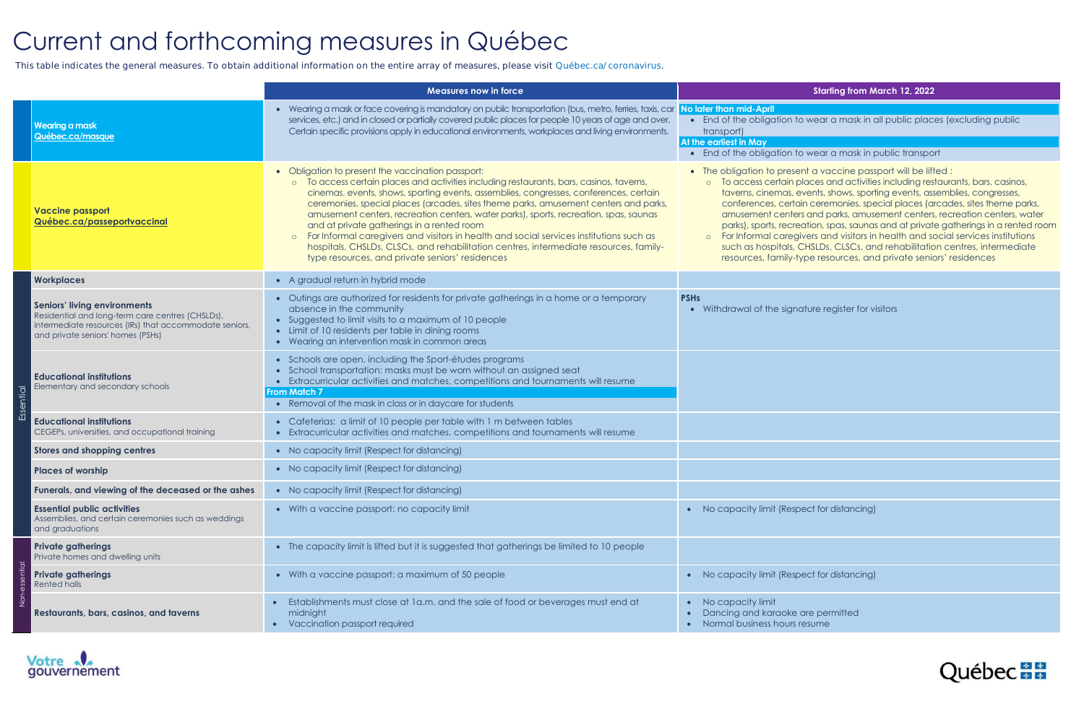# Current and forthcoming measures in Québec

 **This table indicates the general measures. To obtain additional information on the entire array of measures, please visit Québec.ca/coronavirus.**

|                  |                                                                                                                                                                                        | <b>Measures now in force</b>                                                                                                                                                                                                                                                                                                                                                                                                                                                                                                                                                                                                                                                                               |                                                                                                                                                                                                                  |
|------------------|----------------------------------------------------------------------------------------------------------------------------------------------------------------------------------------|------------------------------------------------------------------------------------------------------------------------------------------------------------------------------------------------------------------------------------------------------------------------------------------------------------------------------------------------------------------------------------------------------------------------------------------------------------------------------------------------------------------------------------------------------------------------------------------------------------------------------------------------------------------------------------------------------------|------------------------------------------------------------------------------------------------------------------------------------------------------------------------------------------------------------------|
|                  | <b>Wearing a mask</b><br>Québec.ca/masque                                                                                                                                              | • Wearing a mask or face covering is mandatory on public transportation (bus, metro, ferries, taxis, car<br>services, etc.) and in closed or partially covered public places for people 10 years of age and over.<br>Certain specific provisions apply in educational environments, workplaces and living environments.                                                                                                                                                                                                                                                                                                                                                                                    | No later than mid-April<br>• End of the obligation<br>transport)<br><b>At the earliest in May</b><br>• End of the obligation                                                                                     |
|                  | <b>Vaccine passport</b><br>Québec.ca/passeportvaccinal                                                                                                                                 | • Obligation to present the vaccination passport:<br>To access certain places and activities including restaurants, bars, casinos, taverns,<br>cinemas, events, shows, sporting events, assemblies, congresses, conferences, certain<br>ceremonies, special places (arcades, sites theme parks, amusement centers and parks,<br>amusement centers, recreation centers, water parks), sports, recreation, spas, saunas<br>and at private gatherings in a rented room<br>For Informal caregivers and visitors in health and social services institutions such as<br>hospitals, CHSLDs, CLSCs, and rehabilitation centres, intermediate resources, family-<br>type resources, and private seniors' residences | • The obligation to pres<br>o To access certain<br>taverns, cinemas,<br>conferences, cert<br>amusement cente<br>parks), sports, recr<br>For Informal care<br>$\circ$<br>such as hospitals,<br>resources, family- |
| <b>ESSential</b> | <b>Workplaces</b>                                                                                                                                                                      | • A gradual return in hybrid mode                                                                                                                                                                                                                                                                                                                                                                                                                                                                                                                                                                                                                                                                          |                                                                                                                                                                                                                  |
|                  | <b>Seniors' living environments</b><br>Residential and long-term care centres (CHSLDs),<br>intermediate resources (IRs) that accommodate seniors,<br>and private seniors' homes (PSHs) | • Outings are authorized for residents for private gatherings in a home or a temporary<br>absence in the community<br>• Suggested to limit visits to a maximum of 10 people<br>• Limit of 10 residents per table in dining rooms<br>• Wearing an intervention mask in common areas                                                                                                                                                                                                                                                                                                                                                                                                                         | <b>PSHs</b><br>• Withdrawal of the sign                                                                                                                                                                          |
|                  | <b>Educational institutions</b><br>Elementary and secondary schools                                                                                                                    | • Schools are open, including the Sport-études programs<br>• School transportation: masks must be worn without an assigned seat<br>• Extracurricular activities and matches, competitions and tournaments will resume<br><b>From Match 7</b><br>• Removal of the mask in class or in daycare for students                                                                                                                                                                                                                                                                                                                                                                                                  |                                                                                                                                                                                                                  |
|                  | <b>Educational institutions</b><br>CEGEPs, universities, and occupational training                                                                                                     | • Cafeterias: a limit of 10 people per table with 1 m between tables<br>• Extracurricular activities and matches, competitions and tournaments will resume                                                                                                                                                                                                                                                                                                                                                                                                                                                                                                                                                 |                                                                                                                                                                                                                  |
|                  | <b>Stores and shopping centres</b>                                                                                                                                                     | • No capacity limit (Respect for distancing)                                                                                                                                                                                                                                                                                                                                                                                                                                                                                                                                                                                                                                                               |                                                                                                                                                                                                                  |
|                  | <b>Places of worship</b>                                                                                                                                                               | • No capacity limit (Respect for distancing)                                                                                                                                                                                                                                                                                                                                                                                                                                                                                                                                                                                                                                                               |                                                                                                                                                                                                                  |
|                  | Funerals, and viewing of the deceased or the ashes                                                                                                                                     | • No capacity limit (Respect for distancing)                                                                                                                                                                                                                                                                                                                                                                                                                                                                                                                                                                                                                                                               |                                                                                                                                                                                                                  |
|                  | <b>Essential public activities</b><br>Assemblies, and certain ceremonies such as weddings<br>and graduations                                                                           | • With a vaccine passport: no capacity limit                                                                                                                                                                                                                                                                                                                                                                                                                                                                                                                                                                                                                                                               | No capacity limit (Res<br>$\bullet$                                                                                                                                                                              |
|                  | <b>Private gatherings</b><br>Private homes and dwelling units                                                                                                                          | • The capacity limit is lifted but it is suggested that gatherings be limited to 10 people                                                                                                                                                                                                                                                                                                                                                                                                                                                                                                                                                                                                                 |                                                                                                                                                                                                                  |
|                  | <b>Private gatherings</b><br>Rented halls                                                                                                                                              | • With a vaccine passport: a maximum of 50 people                                                                                                                                                                                                                                                                                                                                                                                                                                                                                                                                                                                                                                                          | No capacity limit (Res<br>$\bullet$                                                                                                                                                                              |
|                  | Restaurants, bars, casinos, and taverns                                                                                                                                                | Establishments must close at 1a.m. and the sale of food or beverages must end at<br>midnight<br>Vaccination passport required<br>$\bullet$                                                                                                                                                                                                                                                                                                                                                                                                                                                                                                                                                                 | No capacity limit<br>$\bullet$<br>Dancing and karaoke<br>$\bullet$<br>Normal business hours                                                                                                                      |



### **Starting from March 12, 2022**

#### to wear a mask in all public places (excluding public

#### to wear a mask in public transport

sent a vaccine passport will be lifted : places and activities including restaurants, bars, casinos, taverns, shows, sporting events, assemblies, congresses, tain ceremonies, special places (arcades, sites theme parks, ers and parks, amusement centers, recreation centers, water reation, spas, saunas and at private gatherings in a rented room givers and visitors in health and social services institutions , CHSLDs, CLSCs, and rehabilitation centres, intermediate -type resources, and private seniors' residences

nature register for visitors

pect for distancing)

spect for distancing)

e are permitted s resume